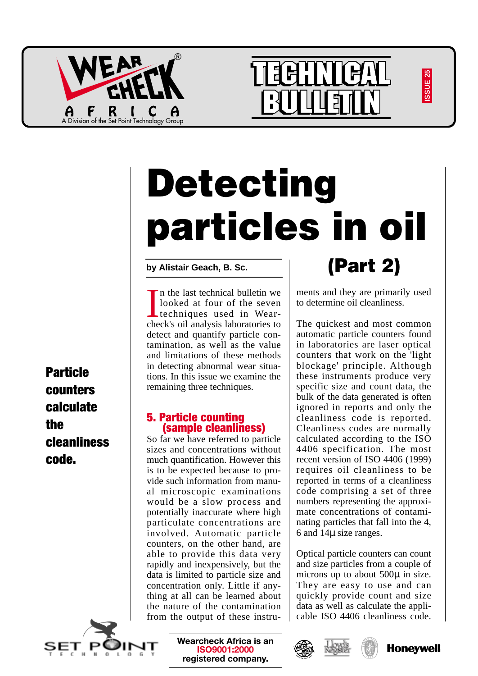



## **ISSUE 25** SSUE<sub>2</sub>

# **Detecting particles in oil**

#### **by Alistair Geach, B. Sc.**

In the last technical bulletin we<br>looked at four of the seven<br>techniques used in Wear-<br>check's oil analysis laboratories to n the last technical bulletin we looked at four of the seven techniques used in Weardetect and quantify particle contamination, as well as the value and limitations of these methods in detecting abnormal wear situations. In this issue we examine the remaining three techniques.

# 5. Particle counting (sample cleanliness)

So far we have referred to particle sizes and concentrations without much quantification. However this is to be expected because to provide such information from manual microscopic examinations would be a slow process and potentially inaccurate where high particulate concentrations are involved. Automatic particle counters, on the other hand, are able to provide this data very rapidly and inexpensively, but the data is limited to particle size and concentration only. Little if anything at all can be learned about the nature of the contamination from the output of these instru-

# **(Part 2)**

ments and they are primarily used to determine oil cleanliness.

The quickest and most common automatic particle counters found in laboratories are laser optical counters that work on the 'light blockage' principle. Although these instruments produce very specific size and count data, the bulk of the data generated is often ignored in reports and only the cleanliness code is reported. Cleanliness codes are normally calculated according to the ISO 4406 specification. The most recent version of ISO 4406 (1999) requires oil cleanliness to be reported in terms of a cleanliness code comprising a set of three numbers representing the approximate concentrations of contaminating particles that fall into the 4, 6 and 14µ size ranges.

Optical particle counters can count and size particles from a couple of microns up to about 500 $\mu$  in size. They are easy to use and can quickly provide count and size data as well as calculate the applicable ISO 4406 cleanliness code.

**<sup>B</sup>UREA<sup>U</sup> <sup>V</sup>ERIT<sup>A</sup><sup>S</sup>**

Particle counters calculate the cleanliness code.



**Wearcheck Africa is an ISO9001:2000 registered company.** 





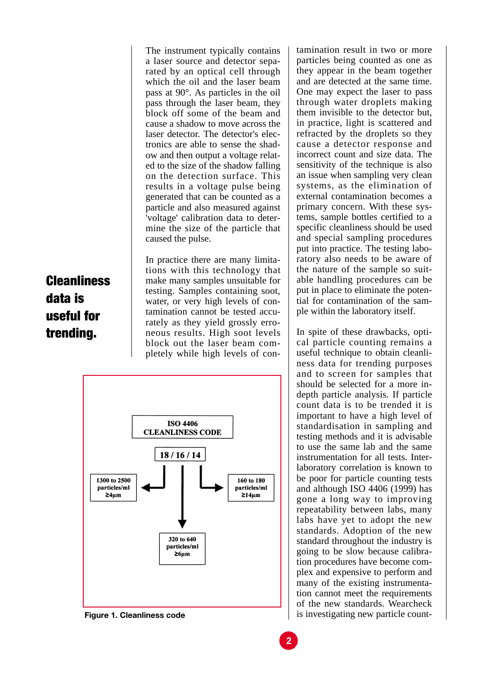The instrument typically contains a laser source and detector separated by an optical cell through which the oil and the laser beam pass at 90°. As particles in the oil pass through the laser beam, they block off some of the beam and cause a shadow to move across the laser detector. The detector's electronics are able to sense the shadow and then output a voltage related to the size of the shadow falling on the detection surface. This results in a voltage pulse being generated that can be counted as a particle and also measured against 'voltage' calibration data to determine the size of the particle that caused the pulse.

## **Cleanliness** data is useful for trending.

In practice there are many limitations with this technology that make many samples unsuitable for testing. Samples containing soot, water, or very high levels of contamination cannot be tested accurately as they yield grossly erroneous results. High soot levels block out the laser beam completely while high levels of con-



**Figure 1. Cleanliness code**

tamination result in two or more particles being counted as one as they appear in the beam together and are detected at the same time. One may expect the laser to pass through water droplets making them invisible to the detector but, in practice, light is scattered and refracted by the droplets so they cause a detector response and incorrect count and size data. The sensitivity of the technique is also an issue when sampling very clean systems, as the elimination of external contamination becomes a primary concern. With these systems, sample bottles certified to a specific cleanliness should be used and special sampling procedures put into practice. The testing laboratory also needs to be aware of the nature of the sample so suitable handling procedures can be put in place to eliminate the potential for contamination of the sample within the laboratory itself.

In spite of these drawbacks, optical particle counting remains a useful technique to obtain cleanliness data for trending purposes and to screen for samples that should be selected for a more indepth particle analysis. If particle count data is to be trended it is important to have a high level of standardisation in sampling and testing methods and it is advisable to use the same lab and the same instrumentation for all tests. Interlaboratory correlation is known to be poor for particle counting tests and although ISO 4406 (1999) has gone a long way to improving repeatability between labs, many labs have yet to adopt the new standards. Adoption of the new standard throughout the industry is going to be slow because calibration procedures have become complex and expensive to perform and many of the existing instrumentation cannot meet the requirements of the new standards. Wearcheck is investigating new particle count-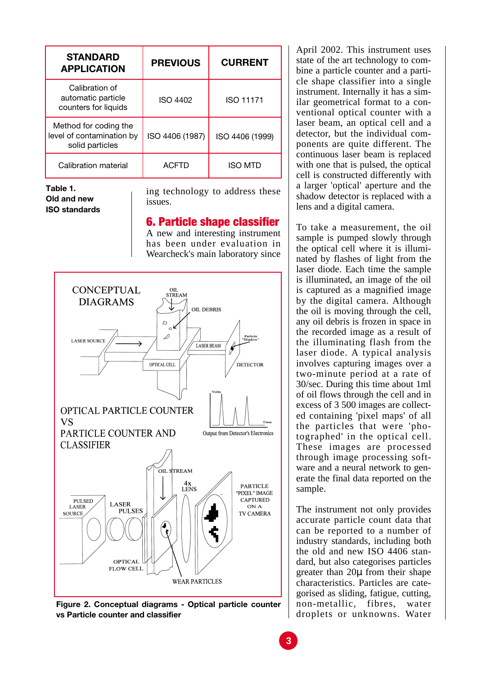| <b>STANDARD</b><br><b>APPLICATION</b>                                 | <b>PREVIOUS</b> | <b>CURRENT</b>   |
|-----------------------------------------------------------------------|-----------------|------------------|
| Calibration of<br>automatic particle<br>counters for liquids          | <b>ISO 4402</b> | <b>ISO 11171</b> |
| Method for coding the<br>level of contamination by<br>solid particles | ISO 4406 (1987) | ISO 4406 (1999)  |
| Calibration material                                                  | <b>ACFTD</b>    | <b>ISO MTD</b>   |

#### **Table 1. Old and new ISO standards**

ing technology to address these issues.

#### 6. Particle shape classifier

A new and interesting instrument has been under evaluation in Wearcheck's main laboratory since



**Figure 2. Conceptual diagrams - Optical particle counter vs Particle counter and classifier**

April 2002. This instrument uses state of the art technology to combine a particle counter and a particle shape classifier into a single instrument. Internally it has a similar geometrical format to a conventional optical counter with a laser beam, an optical cell and a detector, but the individual components are quite different. The continuous laser beam is replaced with one that is pulsed, the optical cell is constructed differently with a larger 'optical' aperture and the shadow detector is replaced with a lens and a digital camera.

To take a measurement, the oil sample is pumped slowly through the optical cell where it is illuminated by flashes of light from the laser diode. Each time the sample is illuminated, an image of the oil is captured as a magnified image by the digital camera. Although the oil is moving through the cell, any oil debris is frozen in space in the recorded image as a result of the illuminating flash from the laser diode. A typical analysis involves capturing images over a two-minute period at a rate of 30/sec. During this time about 1ml of oil flows through the cell and in excess of 3 500 images are collected containing 'pixel maps' of all the particles that were 'photographed' in the optical cell. These images are processed through image processing software and a neural network to generate the final data reported on the sample.

The instrument not only provides accurate particle count data that can be reported to a number of industry standards, including both the old and new ISO 4406 standard, but also categorises particles greater than 20µ from their shape characteristics. Particles are categorised as sliding, fatigue, cutting, non-metallic, fibres, water droplets or unknowns. Water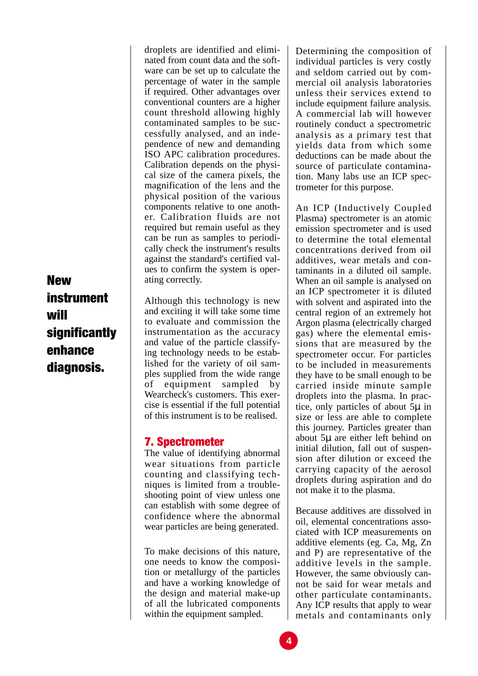New instrument will significantly enhance diagnosis.

droplets are identified and eliminated from count data and the software can be set up to calculate the percentage of water in the sample if required. Other advantages over conventional counters are a higher count threshold allowing highly contaminated samples to be successfully analysed, and an independence of new and demanding ISO APC calibration procedures. Calibration depends on the physical size of the camera pixels, the magnification of the lens and the physical position of the various components relative to one another. Calibration fluids are not required but remain useful as they can be run as samples to periodically check the instrument's results against the standard's certified values to confirm the system is operating correctly.

Although this technology is new and exciting it will take some time to evaluate and commission the instrumentation as the accuracy and value of the particle classifying technology needs to be established for the variety of oil samples supplied from the wide range of equipment sampled by Wearcheck's customers. This exercise is essential if the full potential of this instrument is to be realised.

#### 7. Spectrometer

The value of identifying abnormal wear situations from particle counting and classifying techniques is limited from a troubleshooting point of view unless one can establish with some degree of confidence where the abnormal wear particles are being generated.

To make decisions of this nature, one needs to know the composition or metallurgy of the particles and have a working knowledge of the design and material make-up of all the lubricated components within the equipment sampled.

Determining the composition of individual particles is very costly and seldom carried out by commercial oil analysis laboratories unless their services extend to include equipment failure analysis. A commercial lab will however routinely conduct a spectrometric analysis as a primary test that yields data from which some deductions can be made about the source of particulate contamination. Many labs use an ICP spectrometer for this purpose.

An ICP (Inductively Coupled Plasma) spectrometer is an atomic emission spectrometer and is used to determine the total elemental concentrations derived from oil additives, wear metals and contaminants in a diluted oil sample. When an oil sample is analysed on an ICP spectrometer it is diluted with solvent and aspirated into the central region of an extremely hot Argon plasma (electrically charged gas) where the elemental emissions that are measured by the spectrometer occur. For particles to be included in measurements they have to be small enough to be carried inside minute sample droplets into the plasma. In practice, only particles of about 5µ in size or less are able to complete this journey. Particles greater than about 5µ are either left behind on initial dilution, fall out of suspension after dilution or exceed the carrying capacity of the aerosol droplets during aspiration and do not make it to the plasma.

Because additives are dissolved in oil, elemental concentrations associated with ICP measurements on additive elements (eg. Ca, Mg, Zn and P) are representative of the additive levels in the sample. However, the same obviously cannot be said for wear metals and other particulate contaminants. Any ICP results that apply to wear metals and contaminants only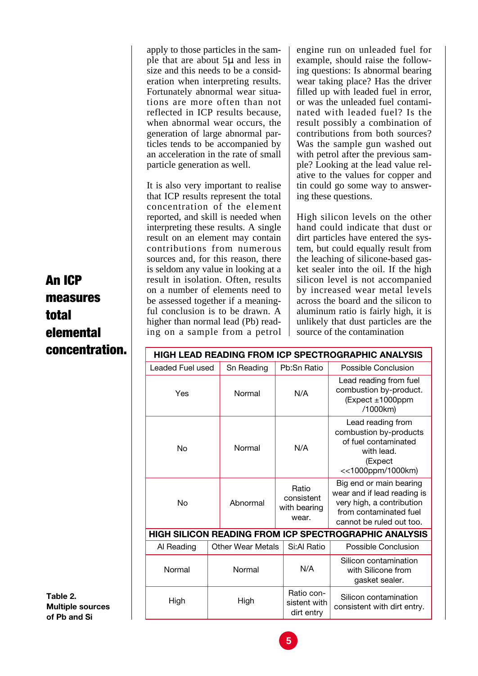apply to those particles in the sample that are about 5µ and less in size and this needs to be a consideration when interpreting results. Fortunately abnormal wear situations are more often than not reflected in ICP results because, when abnormal wear occurs, the generation of large abnormal particles tends to be accompanied by an acceleration in the rate of small particle generation as well.

It is also very important to realise that ICP results represent the total concentration of the element reported, and skill is needed when interpreting these results. A single result on an element may contain contributions from numerous sources and, for this reason, there is seldom any value in looking at a result in isolation. Often, results on a number of elements need to be assessed together if a meaningful conclusion is to be drawn. A higher than normal lead (Pb) reading on a sample from a petrol engine run on unleaded fuel for example, should raise the following questions: Is abnormal bearing wear taking place? Has the driver filled up with leaded fuel in error, or was the unleaded fuel contaminated with leaded fuel? Is the result possibly a combination of contributions from both sources? Was the sample gun washed out with petrol after the previous sample? Looking at the lead value relative to the values for copper and tin could go some way to answering these questions.

High silicon levels on the other hand could indicate that dust or dirt particles have entered the system, but could equally result from the leaching of silicone-based gasket sealer into the oil. If the high silicon level is not accompanied by increased wear metal levels across the board and the silicon to aluminum ratio is fairly high, it is unlikely that dust particles are the source of the contamination

| HIGH LEAD READING FROM ICP SPECTROGRAPHIC ANALYSIS    |                   |                                              |                                                                                                                                           |  |
|-------------------------------------------------------|-------------------|----------------------------------------------|-------------------------------------------------------------------------------------------------------------------------------------------|--|
| Leaded Fuel used                                      | Sn Reading        | Pb:Sn Ratio                                  | Possible Conclusion                                                                                                                       |  |
| Yes                                                   | Normal            | N/A                                          | Lead reading from fuel<br>combustion by-product.<br>(Expect ±1000ppm<br>/1000km)                                                          |  |
| No                                                    | Normal            | N/A                                          | Lead reading from<br>combustion by-products<br>of fuel contaminated<br>with lead.<br>(Expect<br><<1000ppm/1000km)                         |  |
| No                                                    | Abnormal          | Ratio<br>consistent<br>with bearing<br>wear. | Big end or main bearing<br>wear and if lead reading is<br>very high, a contribution<br>from contaminated fuel<br>cannot be ruled out too. |  |
| HIGH SILICON READING FROM ICP SPECTROGRAPHIC ANALYSIS |                   |                                              |                                                                                                                                           |  |
| Al Reading                                            | Other Wear Metals | Si:Al Ratio                                  | Possible Conclusion                                                                                                                       |  |
| Normal                                                | Normal            | N/A                                          | Silicon contamination<br>with Silicone from<br>gasket sealer.                                                                             |  |
| High                                                  | High              | Ratio con-<br>sistent with<br>dirt entry     | Silicon contamination<br>consistent with dirt entry.                                                                                      |  |

# An ICP measures total elemental concentration.

**Table 2. Multiple sources of Pb and Si**